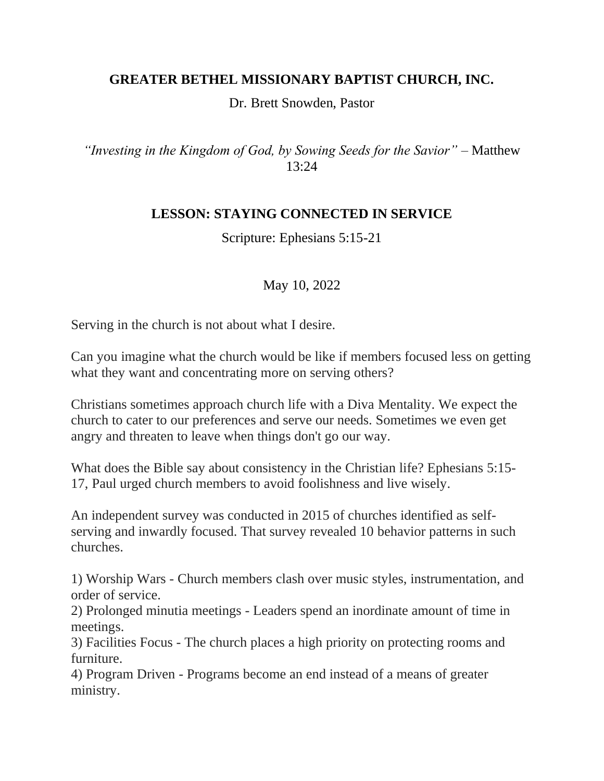## **GREATER BETHEL MISSIONARY BAPTIST CHURCH, INC.**

Dr. Brett Snowden, Pastor

*"Investing in the Kingdom of God, by Sowing Seeds for the Savior"* – Matthew 13:24

## **LESSON: STAYING CONNECTED IN SERVICE**

Scripture: Ephesians 5:15-21

## May 10, 2022

Serving in the church is not about what I desire.

Can you imagine what the church would be like if members focused less on getting what they want and concentrating more on serving others?

Christians sometimes approach church life with a Diva Mentality. We expect the church to cater to our preferences and serve our needs. Sometimes we even get angry and threaten to leave when things don't go our way.

What does the Bible say about consistency in the Christian life? Ephesians 5:15- 17, Paul urged church members to avoid foolishness and live wisely.

An independent survey was conducted in 2015 of churches identified as selfserving and inwardly focused. That survey revealed 10 behavior patterns in such churches.

1) Worship Wars - Church members clash over music styles, instrumentation, and order of service.

2) Prolonged minutia meetings - Leaders spend an inordinate amount of time in meetings.

3) Facilities Focus - The church places a high priority on protecting rooms and furniture.

4) Program Driven - Programs become an end instead of a means of greater ministry.